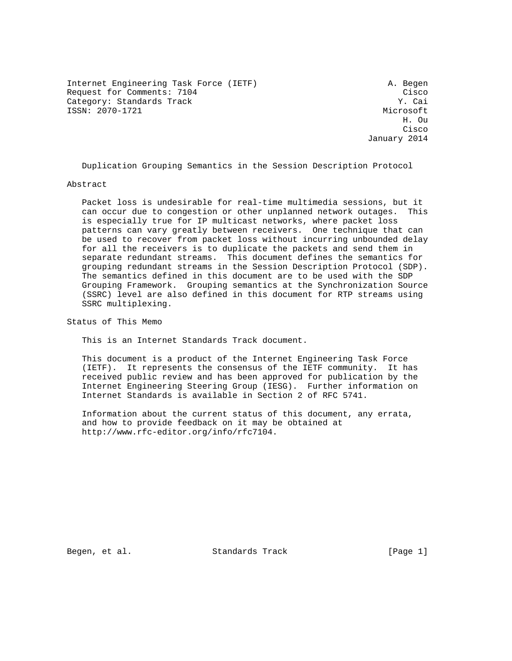Internet Engineering Task Force (IETF) A. Begen Request for Comments: 7104<br>Category: Standards Track Category: Cai Category: Standards Track ISSN: 2070-1721 Microsoft

 H. Ou **Cisco de la contrata de la contrata de la contrata de la contrata de la contrata de la contrata de la contrat** January 2014

Duplication Grouping Semantics in the Session Description Protocol

#### Abstract

 Packet loss is undesirable for real-time multimedia sessions, but it can occur due to congestion or other unplanned network outages. This is especially true for IP multicast networks, where packet loss patterns can vary greatly between receivers. One technique that can be used to recover from packet loss without incurring unbounded delay for all the receivers is to duplicate the packets and send them in separate redundant streams. This document defines the semantics for grouping redundant streams in the Session Description Protocol (SDP). The semantics defined in this document are to be used with the SDP Grouping Framework. Grouping semantics at the Synchronization Source (SSRC) level are also defined in this document for RTP streams using SSRC multiplexing.

Status of This Memo

This is an Internet Standards Track document.

 This document is a product of the Internet Engineering Task Force (IETF). It represents the consensus of the IETF community. It has received public review and has been approved for publication by the Internet Engineering Steering Group (IESG). Further information on Internet Standards is available in Section 2 of RFC 5741.

 Information about the current status of this document, any errata, and how to provide feedback on it may be obtained at http://www.rfc-editor.org/info/rfc7104.

Begen, et al. Standards Track [Page 1]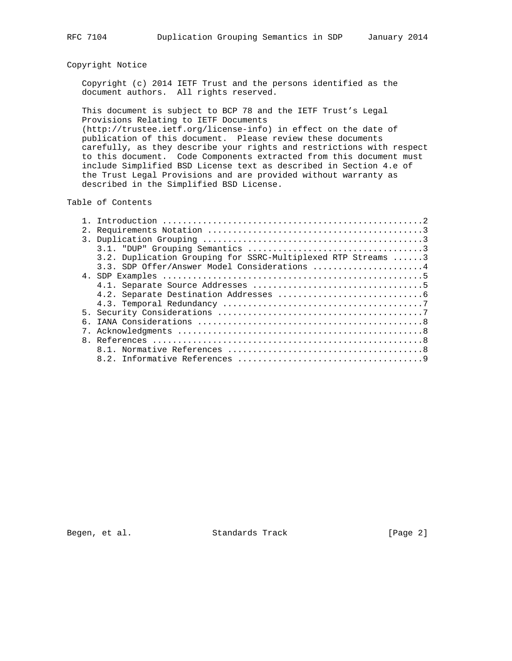# Copyright Notice

 Copyright (c) 2014 IETF Trust and the persons identified as the document authors. All rights reserved.

 This document is subject to BCP 78 and the IETF Trust's Legal Provisions Relating to IETF Documents (http://trustee.ietf.org/license-info) in effect on the date of

 publication of this document. Please review these documents carefully, as they describe your rights and restrictions with respect to this document. Code Components extracted from this document must include Simplified BSD License text as described in Section 4.e of the Trust Legal Provisions and are provided without warranty as described in the Simplified BSD License.

## Table of Contents

|   | 3.2. Duplication Grouping for SSRC-Multiplexed RTP Streams 3 |
|---|--------------------------------------------------------------|
|   | 3.3. SDP Offer/Answer Model Considerations 4                 |
|   |                                                              |
|   |                                                              |
|   |                                                              |
|   |                                                              |
|   |                                                              |
|   |                                                              |
|   |                                                              |
| 8 |                                                              |
|   |                                                              |
|   |                                                              |

Begen, et al. Standards Track [Page 2]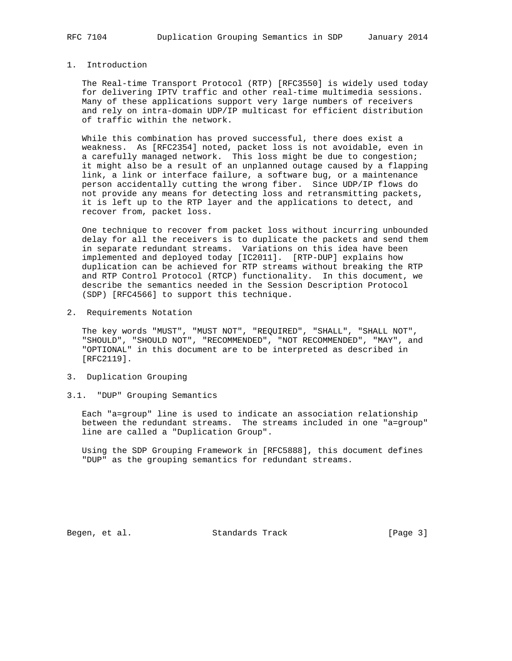# 1. Introduction

 The Real-time Transport Protocol (RTP) [RFC3550] is widely used today for delivering IPTV traffic and other real-time multimedia sessions. Many of these applications support very large numbers of receivers and rely on intra-domain UDP/IP multicast for efficient distribution of traffic within the network.

 While this combination has proved successful, there does exist a weakness. As [RFC2354] noted, packet loss is not avoidable, even in a carefully managed network. This loss might be due to congestion; it might also be a result of an unplanned outage caused by a flapping link, a link or interface failure, a software bug, or a maintenance person accidentally cutting the wrong fiber. Since UDP/IP flows do not provide any means for detecting loss and retransmitting packets, it is left up to the RTP layer and the applications to detect, and recover from, packet loss.

 One technique to recover from packet loss without incurring unbounded delay for all the receivers is to duplicate the packets and send them in separate redundant streams. Variations on this idea have been implemented and deployed today [IC2011]. [RTP-DUP] explains how duplication can be achieved for RTP streams without breaking the RTP and RTP Control Protocol (RTCP) functionality. In this document, we describe the semantics needed in the Session Description Protocol (SDP) [RFC4566] to support this technique.

2. Requirements Notation

 The key words "MUST", "MUST NOT", "REQUIRED", "SHALL", "SHALL NOT", "SHOULD", "SHOULD NOT", "RECOMMENDED", "NOT RECOMMENDED", "MAY", and "OPTIONAL" in this document are to be interpreted as described in [RFC2119].

- 3. Duplication Grouping
- 3.1. "DUP" Grouping Semantics

 Each "a=group" line is used to indicate an association relationship between the redundant streams. The streams included in one "a=group" line are called a "Duplication Group".

 Using the SDP Grouping Framework in [RFC5888], this document defines "DUP" as the grouping semantics for redundant streams.

Begen, et al. Standards Track [Page 3]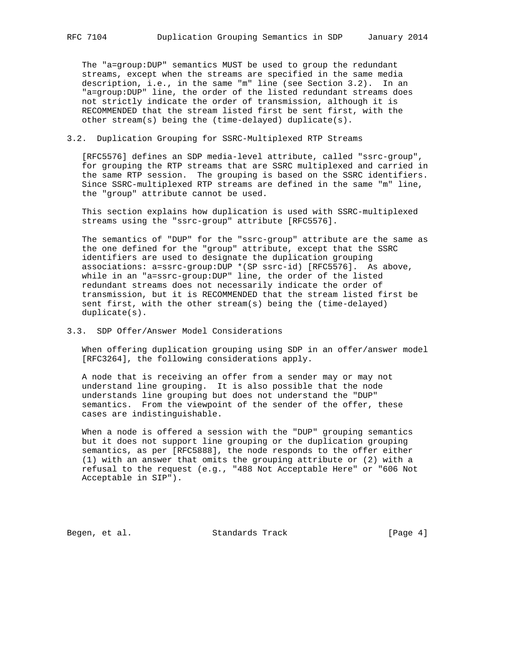The "a=group:DUP" semantics MUST be used to group the redundant streams, except when the streams are specified in the same media description, i.e., in the same "m" line (see Section 3.2). In an "a=group:DUP" line, the order of the listed redundant streams does not strictly indicate the order of transmission, although it is RECOMMENDED that the stream listed first be sent first, with the other stream(s) being the (time-delayed) duplicate(s).

## 3.2. Duplication Grouping for SSRC-Multiplexed RTP Streams

 [RFC5576] defines an SDP media-level attribute, called "ssrc-group", for grouping the RTP streams that are SSRC multiplexed and carried in the same RTP session. The grouping is based on the SSRC identifiers. Since SSRC-multiplexed RTP streams are defined in the same "m" line, the "group" attribute cannot be used.

 This section explains how duplication is used with SSRC-multiplexed streams using the "ssrc-group" attribute [RFC5576].

 The semantics of "DUP" for the "ssrc-group" attribute are the same as the one defined for the "group" attribute, except that the SSRC identifiers are used to designate the duplication grouping associations: a=ssrc-group:DUP \*(SP ssrc-id) [RFC5576]. As above, while in an "a=ssrc-group:DUP" line, the order of the listed redundant streams does not necessarily indicate the order of transmission, but it is RECOMMENDED that the stream listed first be sent first, with the other stream(s) being the (time-delayed) duplicate(s).

## 3.3. SDP Offer/Answer Model Considerations

 When offering duplication grouping using SDP in an offer/answer model [RFC3264], the following considerations apply.

 A node that is receiving an offer from a sender may or may not understand line grouping. It is also possible that the node understands line grouping but does not understand the "DUP" semantics. From the viewpoint of the sender of the offer, these cases are indistinguishable.

 When a node is offered a session with the "DUP" grouping semantics but it does not support line grouping or the duplication grouping semantics, as per [RFC5888], the node responds to the offer either (1) with an answer that omits the grouping attribute or (2) with a refusal to the request (e.g., "488 Not Acceptable Here" or "606 Not Acceptable in SIP").

Begen, et al. Standards Track [Page 4]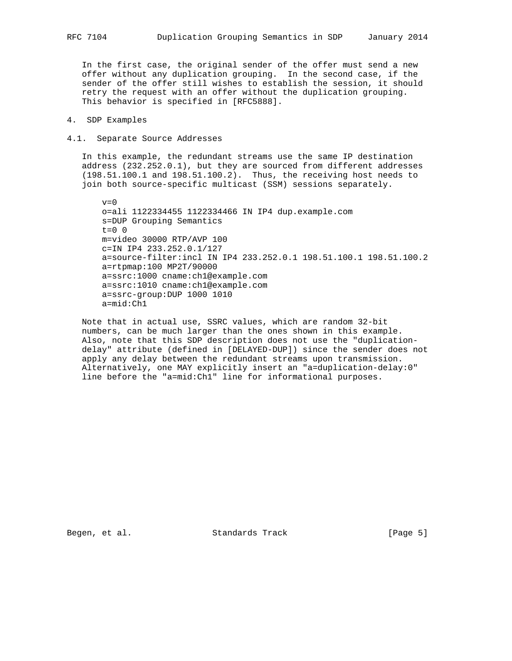In the first case, the original sender of the offer must send a new offer without any duplication grouping. In the second case, if the sender of the offer still wishes to establish the session, it should retry the request with an offer without the duplication grouping. This behavior is specified in [RFC5888].

### 4. SDP Examples

#### 4.1. Separate Source Addresses

 In this example, the redundant streams use the same IP destination address (232.252.0.1), but they are sourced from different addresses (198.51.100.1 and 198.51.100.2). Thus, the receiving host needs to join both source-specific multicast (SSM) sessions separately.

 $v=0$  o=ali 1122334455 1122334466 IN IP4 dup.example.com s=DUP Grouping Semantics  $t=0$  0 m=video 30000 RTP/AVP 100 c=IN IP4 233.252.0.1/127 a=source-filter:incl IN IP4 233.252.0.1 198.51.100.1 198.51.100.2 a=rtpmap:100 MP2T/90000 a=ssrc:1000 cname:ch1@example.com a=ssrc:1010 cname:ch1@example.com a=ssrc-group:DUP 1000 1010 a=mid:Ch1

 Note that in actual use, SSRC values, which are random 32-bit numbers, can be much larger than the ones shown in this example. Also, note that this SDP description does not use the "duplication delay" attribute (defined in [DELAYED-DUP]) since the sender does not apply any delay between the redundant streams upon transmission. Alternatively, one MAY explicitly insert an "a=duplication-delay:0" line before the "a=mid:Ch1" line for informational purposes.

Begen, et al. Standards Track [Page 5]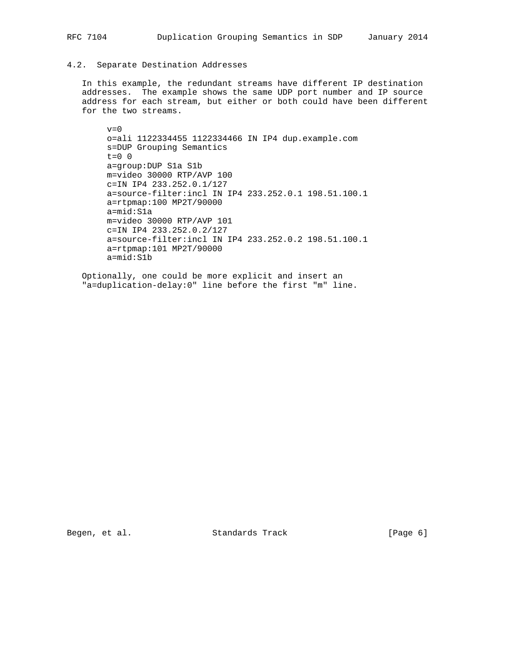## 4.2. Separate Destination Addresses

 In this example, the redundant streams have different IP destination addresses. The example shows the same UDP port number and IP source address for each stream, but either or both could have been different for the two streams.

 $v=0$  o=ali 1122334455 1122334466 IN IP4 dup.example.com s=DUP Grouping Semantics t=0 0 a=group:DUP S1a S1b m=video 30000 RTP/AVP 100 c=IN IP4 233.252.0.1/127 a=source-filter:incl IN IP4 233.252.0.1 198.51.100.1 a=rtpmap:100 MP2T/90000 a=mid:S1a m=video 30000 RTP/AVP 101 c=IN IP4 233.252.0.2/127 a=source-filter:incl IN IP4 233.252.0.2 198.51.100.1 a=rtpmap:101 MP2T/90000 a=mid:S1b

 Optionally, one could be more explicit and insert an "a=duplication-delay:0" line before the first "m" line.

Begen, et al. Standards Track [Page 6]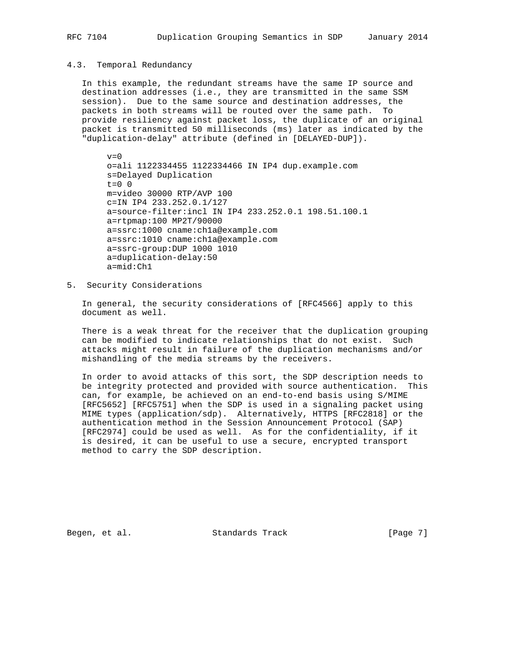#### 4.3. Temporal Redundancy

 In this example, the redundant streams have the same IP source and destination addresses (i.e., they are transmitted in the same SSM session). Due to the same source and destination addresses, the packets in both streams will be routed over the same path. To provide resiliency against packet loss, the duplicate of an original packet is transmitted 50 milliseconds (ms) later as indicated by the "duplication-delay" attribute (defined in [DELAYED-DUP]).

 $v=0$  o=ali 1122334455 1122334466 IN IP4 dup.example.com s=Delayed Duplication t=0 0 m=video 30000 RTP/AVP 100 c=IN IP4 233.252.0.1/127 a=source-filter:incl IN IP4 233.252.0.1 198.51.100.1 a=rtpmap:100 MP2T/90000 a=ssrc:1000 cname:ch1a@example.com a=ssrc:1010 cname:ch1a@example.com a=ssrc-group:DUP 1000 1010 a=duplication-delay:50 a=mid:Ch1

5. Security Considerations

 In general, the security considerations of [RFC4566] apply to this document as well.

 There is a weak threat for the receiver that the duplication grouping can be modified to indicate relationships that do not exist. Such attacks might result in failure of the duplication mechanisms and/or mishandling of the media streams by the receivers.

 In order to avoid attacks of this sort, the SDP description needs to be integrity protected and provided with source authentication. This can, for example, be achieved on an end-to-end basis using S/MIME [RFC5652] [RFC5751] when the SDP is used in a signaling packet using MIME types (application/sdp). Alternatively, HTTPS [RFC2818] or the authentication method in the Session Announcement Protocol (SAP) [RFC2974] could be used as well. As for the confidentiality, if it is desired, it can be useful to use a secure, encrypted transport method to carry the SDP description.

Begen, et al. Standards Track [Page 7]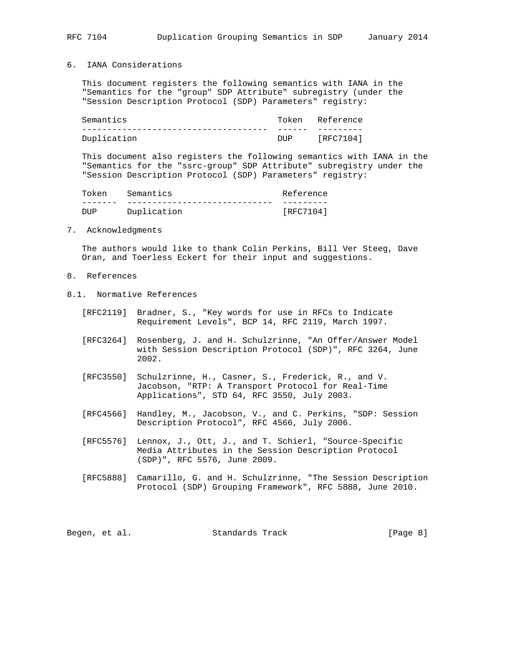### 6. IANA Considerations

 This document registers the following semantics with IANA in the "Semantics for the "group" SDP Attribute" subregistry (under the "Session Description Protocol (SDP) Parameters" registry:

| Semantics   | Token | Reference |
|-------------|-------|-----------|
|             |       |           |
| Duplication | DUP.  | [RFC7104] |

 This document also registers the following semantics with IANA in the "Semantics for the "ssrc-group" SDP Attribute" subregistry under the "Session Description Protocol (SDP) Parameters" registry:

| Token | Semantics   | Reference |
|-------|-------------|-----------|
|       |             |           |
| DUP   | Duplication | [RFC7104] |

## 7. Acknowledgments

 The authors would like to thank Colin Perkins, Bill Ver Steeg, Dave Oran, and Toerless Eckert for their input and suggestions.

- 8. References
- 8.1. Normative References
	- [RFC2119] Bradner, S., "Key words for use in RFCs to Indicate Requirement Levels", BCP 14, RFC 2119, March 1997.
	- [RFC3264] Rosenberg, J. and H. Schulzrinne, "An Offer/Answer Model with Session Description Protocol (SDP)", RFC 3264, June 2002.
	- [RFC3550] Schulzrinne, H., Casner, S., Frederick, R., and V. Jacobson, "RTP: A Transport Protocol for Real-Time Applications", STD 64, RFC 3550, July 2003.
	- [RFC4566] Handley, M., Jacobson, V., and C. Perkins, "SDP: Session Description Protocol", RFC 4566, July 2006.
	- [RFC5576] Lennox, J., Ott, J., and T. Schierl, "Source-Specific Media Attributes in the Session Description Protocol (SDP)", RFC 5576, June 2009.
	- [RFC5888] Camarillo, G. and H. Schulzrinne, "The Session Description Protocol (SDP) Grouping Framework", RFC 5888, June 2010.

|  | Begen, et al. | Standards Track | [Page 8] |
|--|---------------|-----------------|----------|
|--|---------------|-----------------|----------|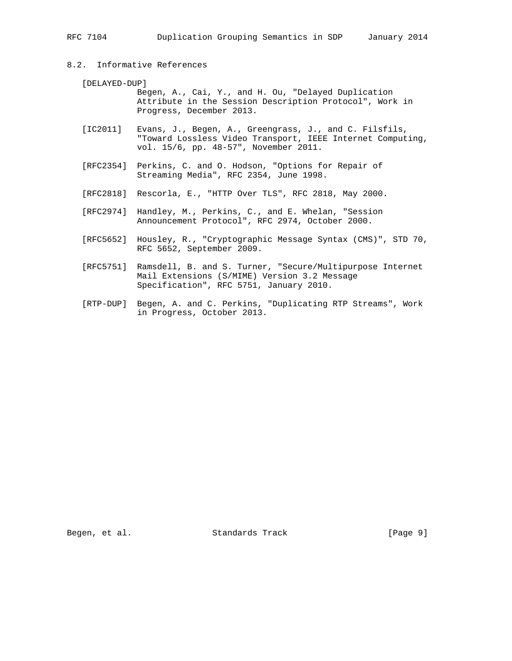# 8.2. Informative References

#### [DELAYED-DUP]

 Begen, A., Cai, Y., and H. Ou, "Delayed Duplication Attribute in the Session Description Protocol", Work in Progress, December 2013.

- [IC2011] Evans, J., Begen, A., Greengrass, J., and C. Filsfils, "Toward Lossless Video Transport, IEEE Internet Computing, vol. 15/6, pp. 48-57", November 2011.
- [RFC2354] Perkins, C. and O. Hodson, "Options for Repair of Streaming Media", RFC 2354, June 1998.
- [RFC2818] Rescorla, E., "HTTP Over TLS", RFC 2818, May 2000.
- [RFC2974] Handley, M., Perkins, C., and E. Whelan, "Session Announcement Protocol", RFC 2974, October 2000.
- [RFC5652] Housley, R., "Cryptographic Message Syntax (CMS)", STD 70, RFC 5652, September 2009.
- [RFC5751] Ramsdell, B. and S. Turner, "Secure/Multipurpose Internet Mail Extensions (S/MIME) Version 3.2 Message Specification", RFC 5751, January 2010.
- [RTP-DUP] Begen, A. and C. Perkins, "Duplicating RTP Streams", Work in Progress, October 2013.

Begen, et al. Standards Track [Page 9]